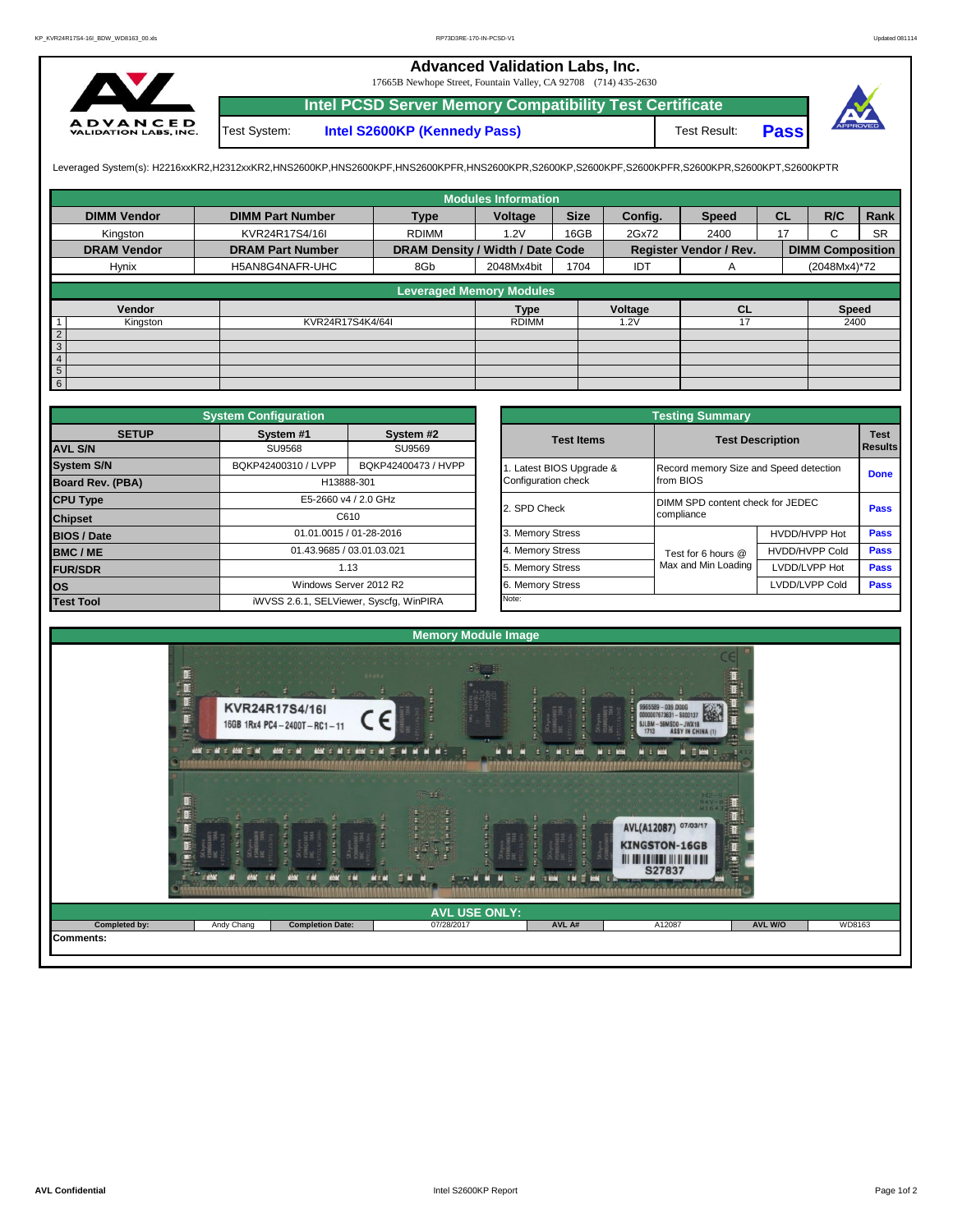## **Advanced Validation Labs, Inc.**

17665B Newhope Street, Fountain Valley, CA 92708 (714) 435-2630



Test System: **Intel S2600KP (Kennedy Pass)** Test Result: **Intel PCSD Server Memory Compatibility Test Certificate Pass**



Leveraged System(s): H2216xxKR2,H2312xxKR2,HNS2600KP,HNS2600KPF,HNS2600KPFR,HNS2600KPR,S2600KP,S2600KPF,S2600KPFR,S2600KPR,S2600KPT,S2600KPTR

|                                       |                         |                                  | <b>Modules Information</b> |             |         |                               |           |                         |           |
|---------------------------------------|-------------------------|----------------------------------|----------------------------|-------------|---------|-------------------------------|-----------|-------------------------|-----------|
| <b>DIMM Vendor</b>                    | <b>DIMM Part Number</b> | <b>Type</b>                      | Voltage                    | <b>Size</b> | Config. | <b>Speed</b>                  | <b>CL</b> | R/C                     | Rank      |
| Kingston                              | KVR24R17S4/16I          | <b>RDIMM</b>                     | 1.2V                       | 16GB        | 2Gx72   | 2400                          | 17        | $\sim$<br>ι.            | <b>SR</b> |
| <b>DRAM Vendor</b>                    | <b>DRAM Part Number</b> | DRAM Density / Width / Date Code |                            |             |         | <b>Register Vendor / Rev.</b> |           | <b>DIMM Composition</b> |           |
| Hynix                                 | H5AN8G4NAFR-UHC         | 8Gb                              | 2048Mx4bit                 | 1704        | IDT     | A                             |           | (2048Mx4)*72            |           |
|                                       |                         | <b>Leveraged Memory Modules</b>  |                            |             |         |                               |           |                         |           |
|                                       |                         |                                  |                            |             |         |                               |           |                         |           |
| Vendor                                |                         |                                  | Type                       |             | Voltage | CL                            |           | <b>Speed</b>            |           |
| Kingston<br>1                         | KVR24R17S4K4/64I        |                                  | <b>RDIMM</b>               |             | 1.2V    |                               |           | 2400                    |           |
| $\begin{array}{c} 2 \\ 3 \end{array}$ |                         |                                  |                            |             |         |                               |           |                         |           |
|                                       |                         |                                  |                            |             |         |                               |           |                         |           |
| 4                                     |                         |                                  |                            |             |         |                               |           |                         |           |
| $5\overline{)}$                       |                         |                                  |                            |             |         |                               |           |                         |           |
| 6                                     |                         |                                  |                            |             |         |                               |           |                         |           |

|                                         | <b>System Configuration</b>             |                           |  |                       | <b>Testing Summary</b>                 |                                  |             |  |  |
|-----------------------------------------|-----------------------------------------|---------------------------|--|-----------------------|----------------------------------------|----------------------------------|-------------|--|--|
| <b>SETUP</b>                            | System #1                               | System #2                 |  | <b>Test Items</b>     |                                        | <b>Test Description</b>          | <b>Test</b> |  |  |
| <b>AVL S/N</b>                          | SU9568                                  | SU9569                    |  |                       |                                        | <b>Results</b>                   |             |  |  |
| <b>System S/N</b>                       | BQKP42400310 / LVPP                     | BQKP42400473 / HVPP       |  | Latest BIOS Upgrade & | Record memory Size and Speed detection | <b>Done</b>                      |             |  |  |
| <b>Board Rev. (PBA)</b>                 | H13888-301                              |                           |  | Configuration check   | from BIOS                              |                                  |             |  |  |
| <b>CPU Type</b><br>E5-2660 v4 / 2.0 GHz |                                         |                           |  | 2. SPD Check          |                                        | DIMM SPD content check for JEDEC |             |  |  |
| <b>Chipset</b>                          |                                         | C610                      |  |                       | compliance                             |                                  |             |  |  |
| <b>BIOS / Date</b>                      |                                         | 01.01.0015 / 01-28-2016   |  | 3. Memory Stress      |                                        | HVDD/HVPP Hot                    | Pass        |  |  |
| <b>BMC/ME</b>                           |                                         | 01.43.9685 / 03.01.03.021 |  | 4. Memory Stress      | Test for 6 hours @                     | <b>HVDD/HVPP Cold</b>            | <b>Pass</b> |  |  |
| <b>FUR/SDR</b>                          |                                         | 1.13                      |  | 5. Memory Stress      | Max and Min Loading                    | LVDD/LVPP Hot                    | <b>Pass</b> |  |  |
| <b>los</b>                              |                                         | Windows Server 2012 R2    |  | 6. Memory Stress      |                                        | LVDD/LVPP Cold                   |             |  |  |
| <b>Test Tool</b>                        | iWVSS 2.6.1, SELViewer, Syscfq, WinPIRA |                           |  | Note:                 |                                        |                                  |             |  |  |

|              | <b>System Configuration</b> |                                         |                       | <b>Testing Summary</b>                 |                       |                |  |
|--------------|-----------------------------|-----------------------------------------|-----------------------|----------------------------------------|-----------------------|----------------|--|
| <b>SETUP</b> | System #1                   | System #2                               | <b>Test Items</b>     | <b>Test Description</b>                |                       | <b>Test</b>    |  |
|              | <b>SU9568</b>               | SU9569                                  |                       |                                        |                       | <b>Results</b> |  |
|              | BQKP42400310 / LVPP         | BQKP42400473 / HVPP                     | Latest BIOS Upgrade & | Record memory Size and Speed detection |                       | <b>Done</b>    |  |
| PBA)         |                             | H13888-301                              | Configuration check   | from BIOS                              |                       |                |  |
|              |                             | E5-2660 v4 / 2.0 GHz                    | 2. SPD Check          | DIMM SPD content check for JEDEC       | Pass                  |                |  |
|              |                             | C610                                    |                       | compliance                             |                       |                |  |
|              |                             | 01.01.0015 / 01-28-2016                 | 3. Memory Stress      |                                        | HVDD/HVPP Hot         | Pass           |  |
|              |                             | 01.43.9685 / 03.01.03.021               | 4. Memory Stress      | Test for 6 hours @                     | <b>HVDD/HVPP Cold</b> | Pass           |  |
|              |                             | 1.13                                    | 5. Memory Stress      | Max and Min Loading                    | LVDD/LVPP Hot         | Pass           |  |
|              |                             | Windows Server 2012 R2                  | 6. Memory Stress      |                                        | LVDD/LVPP Cold        | <b>Pass</b>    |  |
|              |                             | iWVSS 2.6.1, SELViewer, Syscfg, WinPIRA | Note:                 |                                        |                       |                |  |